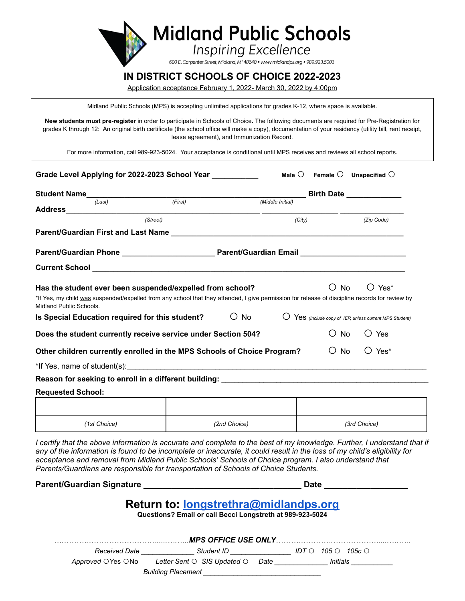

## **IN DISTRICT SCHOOLS OF CHOICE 2022-2023**

Application acceptance February 1, 2022- March 30, 2022 by 4:00pm

Midland Public Schools (MPS) is accepting unlimited applications for grades K-12, where space is available.

**New students must pre-register** in order to participate in Schools of Choice**.** The following documents are required for Pre-Registration for grades K through 12: An original birth certificate (the school office will make a copy), documentation of your residency (utility bill, rent receipt, lease agreement), and Immunization Record.

For more information, call 989-923-5024. Your acceptance is conditional until MPS receives and reviews all school reports.

| Student Name (Last) (First)                                                                            |                                                                                                                                                | Birth Date <u>______________</u> |                                                         |                             |  |
|--------------------------------------------------------------------------------------------------------|------------------------------------------------------------------------------------------------------------------------------------------------|----------------------------------|---------------------------------------------------------|-----------------------------|--|
|                                                                                                        |                                                                                                                                                | (Middle Initial)                 |                                                         |                             |  |
|                                                                                                        | (Street)                                                                                                                                       |                                  |                                                         | (Zip Code)                  |  |
|                                                                                                        |                                                                                                                                                | (City)                           |                                                         |                             |  |
|                                                                                                        |                                                                                                                                                |                                  |                                                         |                             |  |
|                                                                                                        |                                                                                                                                                |                                  |                                                         |                             |  |
|                                                                                                        |                                                                                                                                                |                                  |                                                         |                             |  |
|                                                                                                        |                                                                                                                                                |                                  |                                                         |                             |  |
|                                                                                                        | Has the student ever been suspended/expelled from school?                                                                                      |                                  | $\bigcirc$ No                                           | $\bigcirc$ Yes <sup>*</sup> |  |
|                                                                                                        | *If Yes, my child was suspended/expelled from any school that they attended, I give permission for release of discipline records for review by |                                  |                                                         |                             |  |
|                                                                                                        | $\circ$ No                                                                                                                                     |                                  | O Yes (Include copy of IEP, unless current MPS Student) |                             |  |
|                                                                                                        | Does the student currently receive service under Section 504?                                                                                  |                                  | $\bigcirc$ No                                           | $\bigcirc$ Yes              |  |
|                                                                                                        | Other children currently enrolled in the MPS Schools of Choice Program?                                                                        |                                  | $\bigcirc$ No                                           | $O$ Yes <sup>*</sup>        |  |
|                                                                                                        |                                                                                                                                                |                                  |                                                         |                             |  |
|                                                                                                        | Reason for seeking to enroll in a different building: National Communication of the control of the control of                                  |                                  |                                                         |                             |  |
|                                                                                                        |                                                                                                                                                |                                  |                                                         |                             |  |
| Midland Public Schools.<br>Is Special Education required for this student?<br><b>Requested School:</b> |                                                                                                                                                |                                  |                                                         |                             |  |

*acceptance and removal from Midland Public Schools' Schools of Choice program. I also understand that Parents/Guardians are responsible for transportation of Schools of Choice Students.*

|                                                                                                    | <b>Date</b>                                                                                                                                                                                                                                                                                                                                                                                                                                                          |  |                          |  |  |  |  |
|----------------------------------------------------------------------------------------------------|----------------------------------------------------------------------------------------------------------------------------------------------------------------------------------------------------------------------------------------------------------------------------------------------------------------------------------------------------------------------------------------------------------------------------------------------------------------------|--|--------------------------|--|--|--|--|
| Return to: longstrethra@midlandps.org<br>Questions? Email or call Becci Longstreth at 989-923-5024 |                                                                                                                                                                                                                                                                                                                                                                                                                                                                      |  |                          |  |  |  |  |
|                                                                                                    |                                                                                                                                                                                                                                                                                                                                                                                                                                                                      |  |                          |  |  |  |  |
|                                                                                                    | $\blacksquare$ Received Date $\blacksquare$ and $\blacksquare$ $\blacksquare$ $\blacksquare$ $\blacksquare$ $\blacksquare$ $\blacksquare$ $\blacksquare$ $\blacksquare$ $\blacksquare$ $\blacksquare$ $\blacksquare$ $\blacksquare$ $\blacksquare$ $\blacksquare$ $\blacksquare$ $\blacksquare$ $\blacksquare$ $\blacksquare$ $\blacksquare$ $\blacksquare$ $\blacksquare$ $\blacksquare$ $\blacksquare$ $\blacksquare$ $\blacksquare$ $\blacksquare$ $\blacksquare$ |  | 105 O<br>105 $c$ $\circ$ |  |  |  |  |
|                                                                                                    | Approved $\bigcirc$ Yes $\bigcirc$ No but Letter Sent $\bigcirc$ SIS Updated $\bigcirc$ Date based but initials                                                                                                                                                                                                                                                                                                                                                      |  |                          |  |  |  |  |
|                                                                                                    | Building Placement                                                                                                                                                                                                                                                                                                                                                                                                                                                   |  |                          |  |  |  |  |